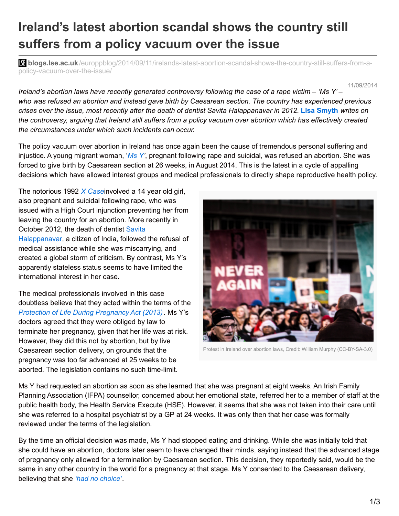## **Ireland's latest abortion scandal shows the country still suffers from a policy vacuum over the issue**

**bli blogs.lse.ac.uk**[/europpblog/2014/09/11/irelands-latest-abortion-scandal-shows-the-country-still-suffers-from-a](http://blogs.lse.ac.uk/europpblog/2014/09/11/irelands-latest-abortion-scandal-shows-the-country-still-suffers-from-a-policy-vacuum-over-the-issue/)policy-vacuum-over-the-issue/

11/09/2014

Ireland's abortion laws have recently generated controversy following the case of a rape victim  $-$  'Ms Y'  $$ who was refused an abortion and instead gave birth by Caesarean section. The country has experienced previous crises over the issue, most recently after the death of dentist Savita Halappanavar in 2012. Lisa Smyth writes on the controversy, arguing that Ireland still suffers from a policy vacuum over abortion which has effectively created *the circumstances under which such incidents can occur.*

The policy vacuum over abortion in Ireland has once again been the cause of tremendous personal suffering and injustice. A young migrant woman, '*[Ms](http://www.irishtimes.com/news/health/woman-in-abortion-case-tells-of-suicide-attempt-1.1901256) Y'*, pregnant following rape and suicidal, was refused an abortion. She was forced to give birth by Caesarean section at 26 weeks, in August 2014. This is the latest in a cycle of appalling decisions which have allowed interest groups and medical professionals to directly shape reproductive health policy.

The notorious 1992 *X [Case](http://www.rte.ie/archives/exhibitions/1666-women-and-society/459005-x-case-protest-march/)*involved a 14 year old girl, also pregnant and suicidal following rape, who was issued with a High Court injunction preventing her from leaving the country for an abortion. More recently in October 2012, the death of dentist Savita [Halappanavar,](http://www.rte.ie/news/2013/1009/479282-savita-halappanavar/) a citizen of India, followed the refusal of medical assistance while she was miscarrying, and created a global storm of criticism. By contrast, Ms Y's apparently stateless status seems to have limited the international interest in her case.

The medical professionals involved in this case doubtless believe that they acted within the terms of the *Protection of Life During [Pregnancy](http://www.irishstatutebook.ie/pdf/2013/en.act.2013.0035.pdf) Act (2013).* Ms Y's doctors agreed that they were obliged by law to terminate her pregnancy, given that her life was at risk. However, they did this not by abortion, but by live Caesarean section delivery, on grounds that the pregnancy was too far advanced at 25 weeks to be aborted. The legislation contains no such time-limit.



Protest in Ireland over abortion laws, Credit: William Murphy (CC-BY-SA-3.0)

Ms Y had requested an abortion as soon as she learned that she was pregnant at eight weeks. An Irish Family Planning Association (IFPA) counsellor, concerned about her emotional state, referred her to a member of staff at the public health body, the Health Service Execute (HSE). However, it seems that she was not taken into their care until she was referred to a hospital psychiatrist by a GP at 24 weeks. It was only then that her case was formally reviewed under the terms of the legislation.

By the time an official decision was made, Ms Y had stopped eating and drinking. While she was initially told that she could have an abortion, doctors later seem to have changed their minds, saying instead that the advanced stage of pregnancy only allowed for a termination by Caesarean section. This decision, they reportedly said, would be the same in any other country in the world for a pregnancy at that stage. Ms Y consented to the Caesarean delivery, believing that she *'had no [choice'](http://www.irishtimes.com/news/health/they-said-they-could-not-do-an-abortion-i-said-you-can-leave-me-now-to-die-i-don-t-want-to-live-in-this-world-anymore-1.1901258)*.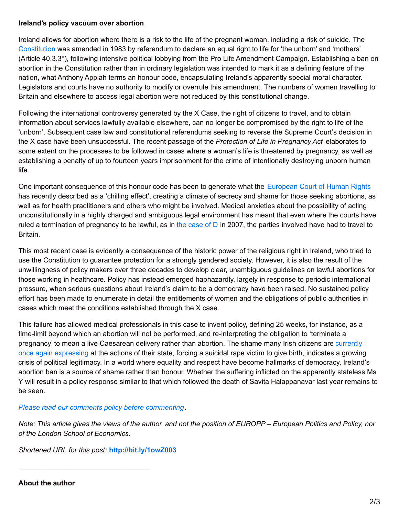## **Ireland's policy vacuum over abortion**

Ireland allows for abortion where there is a risk to the life of the pregnant woman, including a risk of suicide. The [Constitution](http://www.irishstatutebook.ie/en/constitution/index.html) was amended in 1983 by referendum to declare an equal right to life for 'the unborn' and 'mothers' (Article 40.3.3°), following intensive political lobbying from the Pro Life Amendment Campaign. Establishing a ban on abortion in the Constitution rather than in ordinary legislation was intended to mark it as a defining feature of the nation, what Anthony Appiah terms an honour code, encapsulating Ireland's apparently special moral character. Legislators and courts have no authority to modify or overrule this amendment. The numbers of women travelling to Britain and elsewhere to access legal abortion were not reduced by this constitutional change.

Following the international controversy generated by the X Case, the right of citizens to travel, and to obtain information about services lawfully available elsewhere, can no longer be compromised by the right to life of the 'unborn'. Subsequent case law and constitutional referendums seeking to reverse the Supreme Court's decision in the X case have been unsuccessful. The recent passage of the *Protection of Life in Pregnancy Act* elaborates to some extent on the processes to be followed in cases where a woman's life is threatened by pregnancy, as well as establishing a penalty of up to fourteen years imprisonment for the crime of intentionally destroying unborn human life.

One important consequence of this honour code has been to generate what the [European](http://www.bailii.org/eu/cases/ECHR/2010/2032.html) Court of Human Rights has recently described as a 'chilling effect', creating a climate of secrecy and shame for those seeking abortions, as well as for health practitioners and others who might be involved. Medical anxieties about the possibility of acting unconstitutionally in a highly charged and ambiguous legal environment has meant that even where the courts have ruled a termination of pregnancy to be lawful, as in the [case](http://www.irishhealth.com/article.html?id=11507) of  $D$  in 2007, the parties involved have had to travel to Britain.

This most recent case is evidently a consequence of the historic power of the religious right in Ireland, who tried to use the Constitution to guarantee protection for a strongly gendered society. However, it is also the result of the unwillingness of policy makers over three decades to develop clear, unambiguous guidelines on lawful abortions for those working in healthcare. Policy has instead emerged haphazardly, largely in response to periodic international pressure, when serious questions about Ireland's claim to be a democracy have been raised. No sustained policy effort has been made to enumerate in detail the entitlements of women and the obligations of public authorities in cases which meet the conditions established through the X case.

This failure has allowed medical professionals in this case to invent policy, defining 25 weeks, for instance, as a time-limit beyond which an abortion will not be performed, and re-interpreting the obligation to 'terminate a [pregnancy'](http://www.irishtimes.com/news/politics/both-sides-of-abortion-debate-air-views-in-dublin-demonstrations-1.1906377) to mean a live Caesarean delivery rather than abortion. The shame many Irish citizens are currently once again expressing at the actions of their state, forcing a suicidal rape victim to give birth, indicates a growing crisis of political legitimacy. In a world where equality and respect have become hallmarks of democracy, Ireland's abortion ban is a source of shame rather than honour. Whether the suffering inflicted on the apparently stateless Ms Y will result in a policy response similar to that which followed the death of Savita Halappanavar last year remains to be seen.

## *Please read our comments policy before [commenting](http://blogs.lse.ac.uk/europpblog/about/comments-policy/).*

Note: This article gives the views of the author, and not the position of EUROPP – European Politics and Policy, nor *of the London School of Economics.*

*Shortened URL for this post:* **<http://bit.ly/1owZ003>**

\_\_\_\_\_\_\_\_\_\_\_\_\_\_\_\_\_\_\_\_\_\_\_\_\_\_\_\_\_\_\_\_\_